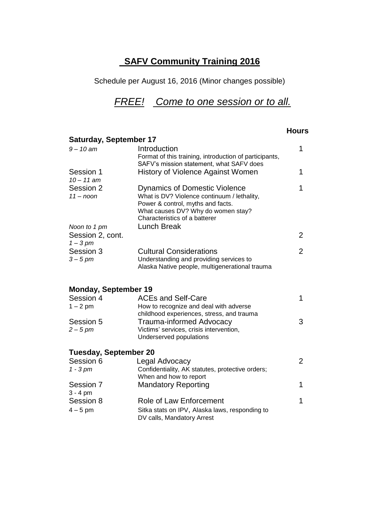# **SAFV Community Training 2016**

Schedule per August 16, 2016 (Minor changes possible)

# *FREE! Come to one session or to all.*

#### **Hours**

|                              | Saturday, September 17                                                                                                                                         |                |  |  |  |
|------------------------------|----------------------------------------------------------------------------------------------------------------------------------------------------------------|----------------|--|--|--|
| $9 - 10$ am                  | Introduction                                                                                                                                                   | 1              |  |  |  |
|                              | Format of this training, introduction of participants,                                                                                                         |                |  |  |  |
|                              | SAFV's mission statement, what SAFV does                                                                                                                       |                |  |  |  |
| Session 1<br>$10 - 11$ am    | History of Violence Against Women                                                                                                                              | 1              |  |  |  |
| Session 2<br>$11 - n$ oon    | <b>Dynamics of Domestic Violence</b><br>What is DV? Violence continuum / lethality,<br>Power & control, myths and facts.<br>What causes DV? Why do women stay? | 1              |  |  |  |
|                              | Characteristics of a batterer                                                                                                                                  |                |  |  |  |
| Noon to 1 pm                 | <b>Lunch Break</b>                                                                                                                                             |                |  |  |  |
| Session 2, cont.             |                                                                                                                                                                | $\overline{2}$ |  |  |  |
| $1 - 3$ pm                   |                                                                                                                                                                |                |  |  |  |
| Session 3                    | <b>Cultural Considerations</b>                                                                                                                                 | $\overline{2}$ |  |  |  |
| $3 - 5$ pm                   | Understanding and providing services to<br>Alaska Native people, multigenerational trauma                                                                      |                |  |  |  |
| <b>Monday, September 19</b>  |                                                                                                                                                                |                |  |  |  |
| Session 4                    | <b>ACEs and Self-Care</b>                                                                                                                                      | $\mathbf{1}$   |  |  |  |
| $1 - 2$ pm                   | How to recognize and deal with adverse<br>childhood experiences, stress, and trauma                                                                            |                |  |  |  |
| Session 5                    | Trauma-informed Advocacy                                                                                                                                       | 3              |  |  |  |
| $2-5$ pm                     | Victims' services, crisis intervention,<br>Underserved populations                                                                                             |                |  |  |  |
| <b>Tuesday, September 20</b> |                                                                                                                                                                |                |  |  |  |
| Session 6                    | Legal Advocacy                                                                                                                                                 | $\overline{2}$ |  |  |  |
| $1 - 3 pm$                   | Confidentiality, AK statutes, protective orders;<br>When and how to report                                                                                     |                |  |  |  |
| Session 7                    | <b>Mandatory Reporting</b>                                                                                                                                     | 1              |  |  |  |
| $3 - 4$ pm                   |                                                                                                                                                                |                |  |  |  |
| Session 8                    | Role of Law Enforcement                                                                                                                                        | 1              |  |  |  |
| $4-5$ pm                     | Sitka stats on IPV, Alaska laws, responding to<br>DV calls, Mandatory Arrest                                                                                   |                |  |  |  |